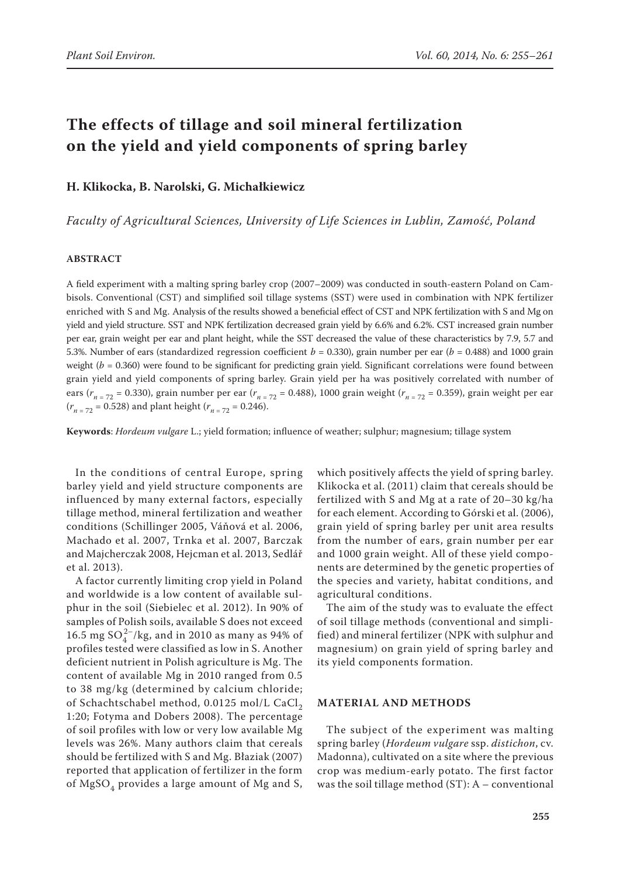# **The effects of tillage and soil mineral fertilization on the yield and yield components of spring barley**

**H. Klikocka, B. Narolski, G. Michałkiewicz**

*Faculty of Agricultural Sciences, University of Life Sciences in Lublin, Zamość, Poland*

## **ABSTRACT**

A field experiment with a malting spring barley crop (2007–2009) was conducted in south-eastern Poland on Cambisols. Conventional (CST) and simplified soil tillage systems (SST) were used in combination with NPK fertilizer enriched with S and Mg. Analysis of the results showed a beneficial effect of CST and NPK fertilization with S and Mg on yield and yield structure. SST and NPK fertilization decreased grain yield by 6.6% and 6.2%. CST increased grain number per ear, grain weight per ear and plant height, while the SST decreased the value of these characteristics by 7.9, 5.7 and 5.3%. Number of ears (standardized regression coefficient  $b = 0.330$ ), grain number per ear ( $b = 0.488$ ) and 1000 grain weight ( $b = 0.360$ ) were found to be significant for predicting grain yield. Significant correlations were found between grain yield and yield components of spring barley. Grain yield per ha was positively correlated with number of ears (*rn* = 72 = 0.330), grain number per ear (*rn* = 72 = 0.488), 1000 grain weight (*rn* = 72 = 0.359), grain weight per ear  $(r_{n=72} = 0.528)$  and plant height  $(r_{n=72} = 0.246)$ .

**Keywords**: *Hordeum vulgare* L.; yield formation; influence of weather; sulphur; magnesium; tillage system

In the conditions of central Europe, spring barley yield and yield structure components are influenced by many external factors, especially tillage method, mineral fertilization and weather conditions (Schillinger 2005, Váňová et al. 2006, Machado et al. 2007, Trnka et al. 2007, Barczak and Majcherczak 2008, Hejcman et al. 2013, Sedlář et al. 2013).

A factor currently limiting crop yield in Poland and worldwide is a low content of available sulphur in the soil (Siebielec et al. 2012). In 90% of samples of Polish soils, available S does not exceed 16.5 mg  $SO_4^{2-}/kg$ , and in 2010 as many as 94% of profiles tested were classified as low in S. Another deficient nutrient in Polish agriculture is Mg. The content of available Mg in 2010 ranged from 0.5 to 38 mg/kg (determined by calcium chloride; of Schachtschabel method, 0.0125 mol/L CaCl<sub>2</sub> 1:20; Fotyma and Dobers 2008). The percentage of soil profiles with low or very low available Mg levels was 26%. Many authors claim that cereals should be fertilized with S and Mg. Błaziak (2007) reported that application of fertilizer in the form of  $MgSO<sub>4</sub>$  provides a large amount of Mg and S,

which positively affects the yield of spring barley. Klikocka et al. (2011) claim that cereals should be fertilized with S and Mg at a rate of 20–30 kg/ha for each element. According to Górski et al. (2006), grain yield of spring barley per unit area results from the number of ears, grain number per ear and 1000 grain weight. All of these yield components are determined by the genetic properties of the species and variety, habitat conditions, and agricultural conditions.

The aim of the study was to evaluate the effect of soil tillage methods (conventional and simplified) and mineral fertilizer (NPK with sulphur and magnesium) on grain yield of spring barley and its yield components formation.

# **MATERIAL AND METHODS**

The subject of the experiment was malting spring barley (*Hordeum vulgare* ssp. *distichon*, cv. Madonna), cultivated on a site where the previous crop was medium-early potato. The first factor was the soil tillage method  $(ST)$ : A – conventional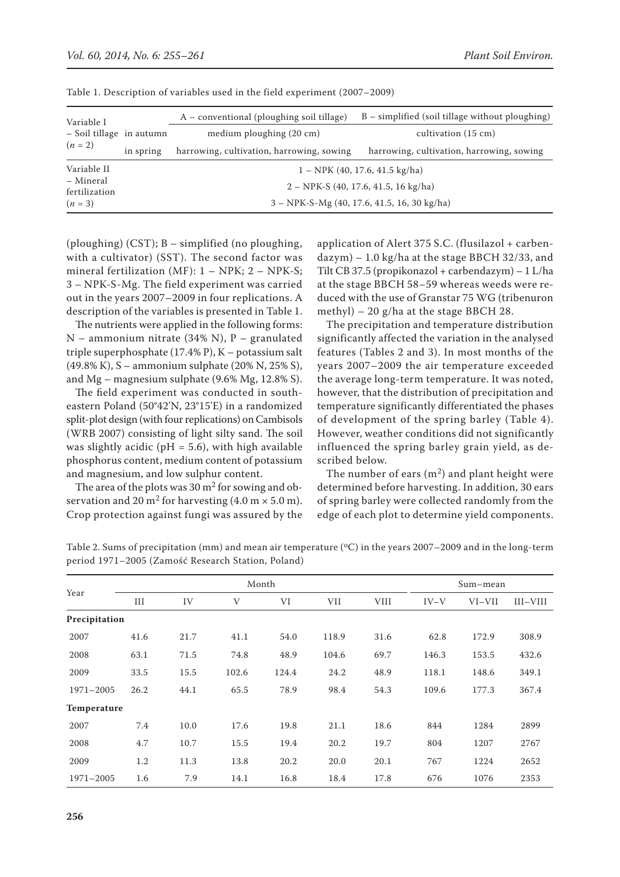|           | A – conventional (ploughing soil tillage)     | $B$ – simplified (soil tillage without ploughing) |  |  |  |  |
|-----------|-----------------------------------------------|---------------------------------------------------|--|--|--|--|
|           | medium ploughing (20 cm)                      | cultivation (15 cm)                               |  |  |  |  |
| in spring | harrowing, cultivation, harrowing, sowing     | harrowing, cultivation, harrowing, sowing         |  |  |  |  |
|           |                                               | $1 - NPK(40, 17.6, 41.5 \text{ kg/ha})$           |  |  |  |  |
|           | $2 - NPK-S$ (40, 17.6, 41.5, 16 kg/ha)        |                                                   |  |  |  |  |
|           | $3 - NPK-S-Mg$ (40, 17.6, 41.5, 16, 30 kg/ha) |                                                   |  |  |  |  |
|           | - Soil tillage in autumn                      |                                                   |  |  |  |  |

Table 1. Description of variables used in the field experiment (2007–2009)

(ploughing) (CST); B – simplified (no ploughing, with a cultivator) (SST). The second factor was mineral fertilization (MF):  $1 - NPK$ ;  $2 - NPK$ -S; 3 – NPK-S-Mg. The field experiment was carried out in the years 2007–2009 in four replications. A description of the variables is presented in Table 1.

The nutrients were applied in the following forms: N – ammonium nitrate (34% N), P – granulated triple superphosphate (17.4% P), K – potassium salt (49.8% K), S – ammonium sulphate (20% N, 25% S), and Mg – magnesium sulphate (9.6% Mg, 12.8% S).

The field experiment was conducted in southeastern Poland (50°42'N, 23°15'E) in a randomized split-plot design (with four replications) on Cambisols (WRB 2007) consisting of light silty sand. The soil was slightly acidic (pH = 5.6), with high available phosphorus content, medium content of potassium and magnesium, and low sulphur content.

The area of the plots was  $30 \text{ m}^2$  for sowing and observation and 20 m<sup>2</sup> for harvesting  $(4.0 \text{ m} \times 5.0 \text{ m})$ . Crop protection against fungi was assured by the application of Alert 375 S.C. (flusilazol + carbendazym) – 1.0 kg/ha at the stage BBCH 32/33, and Tilt CB 37.5 (propikonazol + carbendazym)  $-1$  L/ha at the stage BBCH 58–59 whereas weeds were reduced with the use of Granstar 75 WG (tribenuron methyl) – 20 g/ha at the stage BBCH 28.

The precipitation and temperature distribution significantly affected the variation in the analysed features (Tables 2 and 3). In most months of the years 2007–2009 the air temperature exceeded the average long-term temperature. It was noted, however, that the distribution of precipitation and temperature significantly differentiated the phases of development of the spring barley (Table 4). However, weather conditions did not significantly influenced the spring barley grain yield, as described below.

The number of ears  $(m^2)$  and plant height were determined before harvesting. In addition, 30 ears of spring barley were collected randomly from the edge of each plot to determine yield components.

| Year          | Month |      |             |       |       |             |        | Sum-mean |          |  |
|---------------|-------|------|-------------|-------|-------|-------------|--------|----------|----------|--|
|               | III   | IV   | $\mathbf V$ | VI    | VII   | <b>VIII</b> | $IV-V$ | VI-VII   | III-VIII |  |
| Precipitation |       |      |             |       |       |             |        |          |          |  |
| 2007          | 41.6  | 21.7 | 41.1        | 54.0  | 118.9 | 31.6        | 62.8   | 172.9    | 308.9    |  |
| 2008          | 63.1  | 71.5 | 74.8        | 48.9  | 104.6 | 69.7        | 146.3  | 153.5    | 432.6    |  |
| 2009          | 33.5  | 15.5 | 102.6       | 124.4 | 24.2  | 48.9        | 118.1  | 148.6    | 349.1    |  |
| 1971-2005     | 26.2  | 44.1 | 65.5        | 78.9  | 98.4  | 54.3        | 109.6  | 177.3    | 367.4    |  |
| Temperature   |       |      |             |       |       |             |        |          |          |  |
| 2007          | 7.4   | 10.0 | 17.6        | 19.8  | 21.1  | 18.6        | 844    | 1284     | 2899     |  |
| 2008          | 4.7   | 10.7 | 15.5        | 19.4  | 20.2  | 19.7        | 804    | 1207     | 2767     |  |
| 2009          | 1.2   | 11.3 | 13.8        | 20.2  | 20.0  | 20.1        | 767    | 1224     | 2652     |  |
| 1971-2005     | 1.6   | 7.9  | 14.1        | 16.8  | 18.4  | 17.8        | 676    | 1076     | 2353     |  |

Table 2. Sums of precipitation (mm) and mean air temperature ( $\degree$ C) in the years 2007–2009 and in the long-term period 1971–2005 (Zamość Research Station, Poland)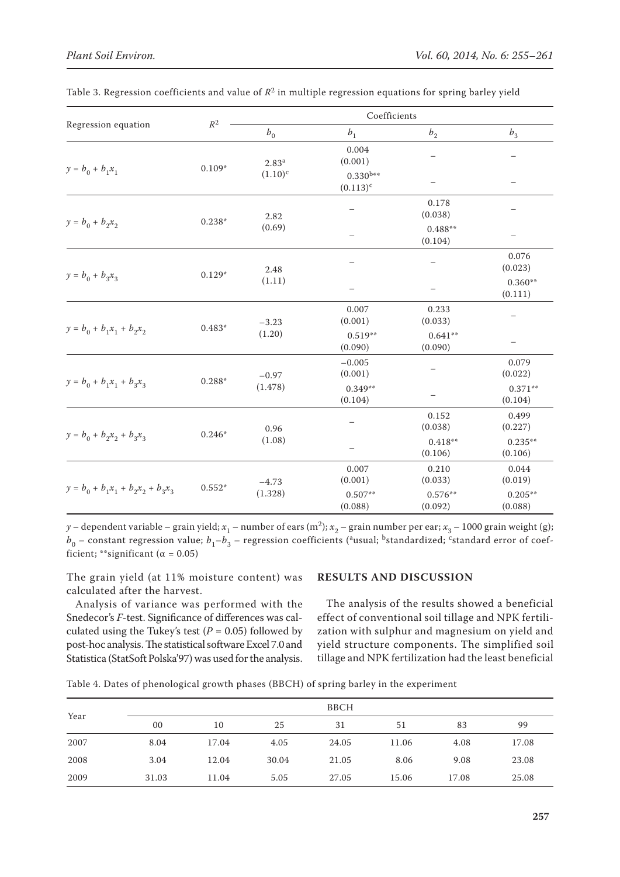|                                      | $R^2$    | Coefficients               |                                |                      |                      |  |  |  |
|--------------------------------------|----------|----------------------------|--------------------------------|----------------------|----------------------|--|--|--|
| Regression equation                  |          | $b_{\scriptscriptstyle 0}$ | b <sub>1</sub>                 | $b_{2}$              | b <sub>3</sub>       |  |  |  |
|                                      | $0.109*$ | $2.83^{a}$                 | 0.004<br>(0.001)               |                      |                      |  |  |  |
| $y = b_0 + b_1 x_1$                  |          | $(1.10)^{c}$               | $0.330^{b**}$<br>$(0.113)^{c}$ |                      |                      |  |  |  |
|                                      | $0.238*$ | 2.82<br>(0.69)             |                                | 0.178<br>(0.038)     |                      |  |  |  |
| $y = b_0 + b_2 x_2$                  |          |                            |                                | $0.488**$<br>(0.104) |                      |  |  |  |
| $y = b_0 + b_3 x_3$                  |          | 2.48<br>(1.11)             |                                |                      | 0.076<br>(0.023)     |  |  |  |
|                                      | $0.129*$ |                            |                                |                      | $0.360**$<br>(0.111) |  |  |  |
|                                      | $0.483*$ | $-3.23$<br>(1.20)          | 0.007<br>(0.001)               | 0.233<br>(0.033)     |                      |  |  |  |
| $y = b_0 + b_1 x_1 + b_2 x_2$        |          |                            | $0.519**$<br>(0.090)           | $0.641**$<br>(0.090) |                      |  |  |  |
|                                      | $0.288*$ | $-0.97$<br>(1.478)         | $-0.005$<br>(0.001)            |                      | 0.079<br>(0.022)     |  |  |  |
| $y = b_0 + b_1 x_1 + b_3 x_3$        |          |                            | $0.349**$<br>(0.104)           |                      | $0.371**$<br>(0.104) |  |  |  |
|                                      | $0.246*$ | 0.96<br>(1.08)             |                                | 0.152<br>(0.038)     | 0.499<br>(0.227)     |  |  |  |
| $y = b_0 + b_2 x_2 + b_3 x_3$        |          |                            |                                | $0.418**$<br>(0.106) | $0.235**$<br>(0.106) |  |  |  |
|                                      | $0.552*$ | $-4.73$                    | 0.007<br>(0.001)               | 0.210<br>(0.033)     | 0.044<br>(0.019)     |  |  |  |
| $y = b_0 + b_1x_1 + b_2x_2 + b_3x_3$ |          | (1.328)                    | $0.507**$<br>(0.088)           | $0.576**$<br>(0.092) | $0.205**$<br>(0.088) |  |  |  |

Table 3. Regression coefficients and value of *R*2 in multiple regression equations for spring barley yield

*y* – dependent variable – grain yield;  $x_1$  – number of ears (m<sup>2</sup>);  $x_2$  – grain number per ear;  $x_3$  – 1000 grain weight (g); *b*<sub>0</sub> – constant regression value; *b*<sub>1</sub>–*b*<sub>3</sub> – regression coefficients (<sup>a</sup>usual; <sup>b</sup>standardized; <sup>c</sup>standard error of coefficient; \*\*significant ( $\alpha = 0.05$ )

The grain yield (at 11% moisture content) was calculated after the harvest.

Analysis of variance was performed with the Snedecor's *F*-test. Significance of differences was calculated using the Tukey's test ( $P = 0.05$ ) followed by post-hoc analysis. The statistical software Excel 7.0 and Statistica (StatSoft Polska'97) was used for the analysis.

# **RESULTS AND DISCUSSION**

The analysis of the results showed a beneficial effect of conventional soil tillage and NPK fertilization with sulphur and magnesium on yield and yield structure components. The simplified soil tillage and NPK fertilization had the least beneficial

Table 4. Dates of phenological growth phases (BBCH) of spring barley in the experiment

| Year |       |       |       | <b>BBCH</b> |       |       |       |
|------|-------|-------|-------|-------------|-------|-------|-------|
|      | 00    | 10    | 25    | 31          | 51    | 83    | 99    |
| 2007 | 8.04  | 17.04 | 4.05  | 24.05       | 11.06 | 4.08  | 17.08 |
| 2008 | 3.04  | 12.04 | 30.04 | 21.05       | 8.06  | 9.08  | 23.08 |
| 2009 | 31.03 | 11.04 | 5.05  | 27.05       | 15.06 | 17.08 | 25.08 |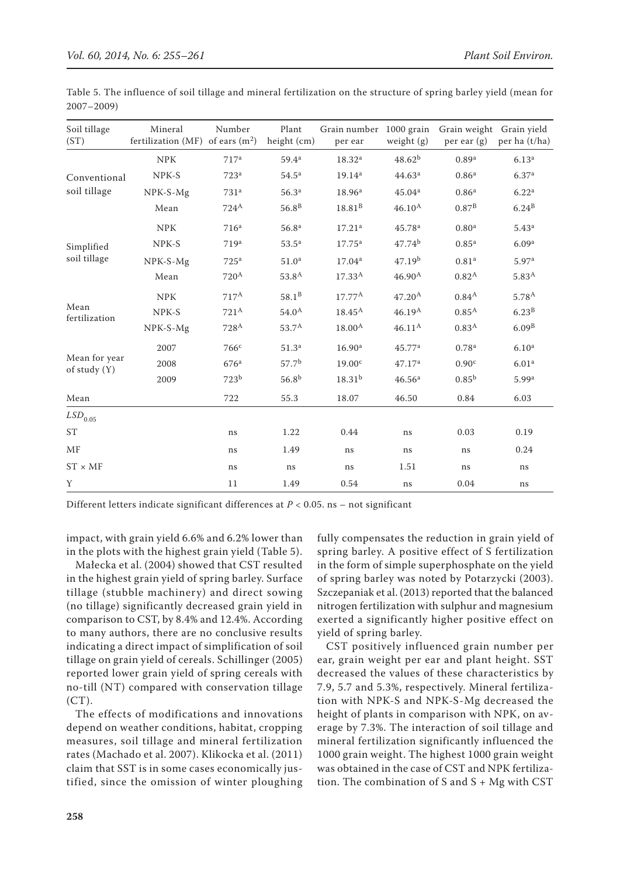| Soil tillage<br>(ST)            | Mineral<br>fertilization (MF) of ears $(m^2)$ | Number             | Plant<br>height (cm) | Grain number 1000 grain Grain weight Grain yield<br>per ear | weight (g)         | per ear $(g)$     | per ha (t/ha)     |
|---------------------------------|-----------------------------------------------|--------------------|----------------------|-------------------------------------------------------------|--------------------|-------------------|-------------------|
|                                 | <b>NPK</b>                                    | 717 <sup>a</sup>   | $59.4^{a}$           | 18.32 <sup>a</sup>                                          | $48.62^{b}$        | 0.89 <sup>a</sup> | 6.13 <sup>a</sup> |
| Conventional                    | NPK-S                                         | 723 <sup>a</sup>   | 54.5 <sup>a</sup>    | 19.14 <sup>a</sup>                                          | 44.63 <sup>a</sup> | 0.86 <sup>a</sup> | 6.37 <sup>a</sup> |
| soil tillage                    | NPK-S-Mg                                      | 731 <sup>a</sup>   | 56.3 <sup>a</sup>    | 18.96 <sup>a</sup>                                          | 45.04 <sup>a</sup> | 0.86 <sup>a</sup> | 6.22 <sup>a</sup> |
|                                 | Mean                                          | $724^A$            | 56.8 <sup>B</sup>    | $18.81^{B}$                                                 | $46.10^{A}$        | $0.87^{B}$        | $6.24^{B}$        |
|                                 | <b>NPK</b>                                    | 716 <sup>a</sup>   | 56.8 <sup>a</sup>    | 17.21 <sup>a</sup>                                          | 45.78 <sup>a</sup> | 0.80 <sup>a</sup> | $5.43^{a}$        |
| Simplified                      | NPK-S                                         | 719 <sup>a</sup>   | 53.5 <sup>a</sup>    | $17.75^{\rm a}$                                             | 47.74 <sup>b</sup> | $0.85^{a}$        | 6.09 <sup>a</sup> |
| soil tillage                    | NPK-S-Mg                                      | 725 <sup>a</sup>   | 51.0 <sup>a</sup>    | 17.04 <sup>a</sup>                                          | 47.19 <sup>b</sup> | 0.81 <sup>a</sup> | 5.97 <sup>a</sup> |
|                                 | Mean                                          | $720^{\mathrm{A}}$ | 53.8 <sup>A</sup>    | $17.33^{A}$                                                 | $46.90^{A}$        | 0.82 <sup>A</sup> | 5.83 <sup>A</sup> |
|                                 | <b>NPK</b>                                    | 717 <sup>A</sup>   | 58.1 <sup>B</sup>    | $17.77^{\rm A}$                                             | 47.20 <sup>A</sup> | $0.84^{A}$        | $5.78^{A}$        |
| Mean<br>fertilization           | NPK-S                                         | 721 <sup>A</sup>   | $54.0^{A}$           | $18.45^{\text{A}}$                                          | $46.19^{A}$        | 0.85 <sup>A</sup> | 6.23 <sup>B</sup> |
|                                 | NPK-S-Mg                                      | 728 <sup>A</sup>   | $53.7^{A}$           | $18.00^{A}$                                                 | $46.11^{\rm A}$    | 0.83 <sup>A</sup> | $6.09^{B}$        |
|                                 | 2007                                          | 766c               | 51.3 <sup>a</sup>    | 16.90 <sup>a</sup>                                          | 45.77a             | 0.78 <sup>a</sup> | 6.10 <sup>a</sup> |
| Mean for year<br>of study $(Y)$ | 2008                                          | 676 <sup>a</sup>   | 57.7 <sup>b</sup>    | 19.00 <sup>c</sup>                                          | 47.17 <sup>a</sup> | 0.90 <sup>c</sup> | 6.01 <sup>a</sup> |
|                                 | 2009                                          | 723 <sup>b</sup>   | $56.8^{b}$           | $18.31^{b}$                                                 | 46.56 <sup>a</sup> | $0.85^{b}$        | 5.99 <sup>a</sup> |
| Mean                            |                                               | 722                | 55.3                 | 18.07                                                       | 46.50              | 0.84              | 6.03              |
| $LSD_{0.05}$                    |                                               |                    |                      |                                                             |                    |                   |                   |
| <b>ST</b>                       |                                               | ns                 | 1.22                 | 0.44                                                        | ns                 | 0.03              | 0.19              |
| <b>MF</b>                       |                                               | ns                 | 1.49                 | ns                                                          | ns                 | ns                | 0.24              |
| $ST \times MF$                  |                                               | ns                 | ns                   | ns                                                          | 1.51               | ns                | ns                |
| Y                               |                                               | 11                 | 1.49                 | 0.54                                                        | ns                 | 0.04              | ns                |

Table 5. The influence of soil tillage and mineral fertilization on the structure of spring barley yield (mean for 2007–2009)

Different letters indicate significant differences at *P* < 0.05. ns – not significant

impact, with grain yield 6.6% and 6.2% lower than in the plots with the highest grain yield (Table 5).

Małecka et al. (2004) showed that CST resulted in the highest grain yield of spring barley. Surface tillage (stubble machinery) and direct sowing (no tillage) significantly decreased grain yield in comparison to CST, by 8.4% and 12.4%. According to many authors, there are no conclusive results indicating a direct impact of simplification of soil tillage on grain yield of cereals. Schillinger (2005) reported lower grain yield of spring cereals with no-till (NT) compared with conservation tillage  $(CT).$ 

The effects of modifications and innovations depend on weather conditions, habitat, cropping measures, soil tillage and mineral fertilization rates (Machado et al. 2007). Klikocka et al. (2011) claim that SST is in some cases economically justified, since the omission of winter ploughing

fully compensates the reduction in grain yield of spring barley. A positive effect of S fertilization in the form of simple superphosphate on the yield of spring barley was noted by Potarzycki (2003). Szczepaniak et al. (2013) reported that the balanced nitrogen fertilization with sulphur and magnesium exerted a significantly higher positive effect on yield of spring barley.

CST positively influenced grain number per ear, grain weight per ear and plant height. SST decreased the values of these characteristics by 7.9, 5.7 and 5.3%, respectively. Mineral fertilization with NPK-S and NPK-S-Mg decreased the height of plants in comparison with NPK, on average by 7.3%. The interaction of soil tillage and mineral fertilization significantly influenced the 1000 grain weight. The highest 1000 grain weight was obtained in the case of CST and NPK fertilization. The combination of S and  $S + Mg$  with CST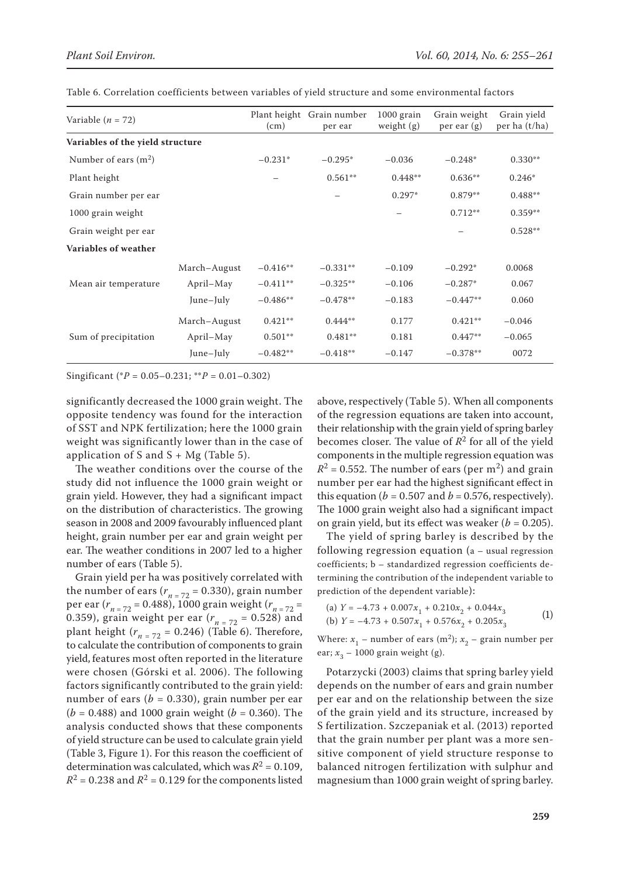| Variable $(n = 72)$              |              | (cm)       | Plant height Grain number<br>per ear | $1000$ grain<br>weight $(g)$ | Grain weight<br>$per \, ear \, (g)$ | Grain yield<br>per ha (t/ha) |
|----------------------------------|--------------|------------|--------------------------------------|------------------------------|-------------------------------------|------------------------------|
| Variables of the yield structure |              |            |                                      |                              |                                     |                              |
| Number of ears $(m2)$            |              | $-0.231*$  | $-0.295*$                            | $-0.036$                     | $-0.248*$                           | $0.330**$                    |
| Plant height                     |              |            | $0.561**$                            | $0.448**$                    | $0.636**$                           | $0.246*$                     |
| Grain number per ear             |              |            |                                      | $0.297*$                     | $0.879**$                           | $0.488**$                    |
| 1000 grain weight                |              |            |                                      |                              | $0.712**$                           | $0.359**$                    |
| Grain weight per ear             |              |            |                                      |                              |                                     | $0.528**$                    |
| Variables of weather             |              |            |                                      |                              |                                     |                              |
|                                  | March-August | $-0.416**$ | $-0.331**$                           | $-0.109$                     | $-0.292*$                           | 0.0068                       |
| Mean air temperature             | April-May    | $-0.411**$ | $-0.325**$                           | $-0.106$                     | $-0.287*$                           | 0.067                        |
|                                  | June-July    | $-0.486**$ | $-0.478**$                           | $-0.183$                     | $-0.447**$                          | 0.060                        |
|                                  | March-August | $0.421**$  | $0.444**$                            | 0.177                        | $0.421**$                           | $-0.046$                     |
| Sum of precipitation             | April-May    | $0.501**$  | $0.481**$                            | 0.181                        | $0.447**$                           | $-0.065$                     |
|                                  | June-July    | $-0.482**$ | $-0.418**$                           | $-0.147$                     | $-0.378**$                          | 0072                         |

Table 6. Correlation coefficients between variables of yield structure and some environmental factors

Singificant (\**P* = 0.05–0.231; \*\**P* = 0.01–0.302)

significantly decreased the 1000 grain weight. The opposite tendency was found for the interaction of SST and NPK fertilization; here the 1000 grain weight was significantly lower than in the case of application of S and  $S + Mg$  (Table 5).

The weather conditions over the course of the study did not influence the 1000 grain weight or grain yield. However, they had a significant impact on the distribution of characteristics. The growing season in 2008 and 2009 favourably influenced plant height, grain number per ear and grain weight per ear. The weather conditions in 2007 led to a higher number of ears (Table 5).

Grain yield per ha was positively correlated with the number of ears  $(r_{n=72} = 0.330)$ , grain number per ear (*rn* = 72 = 0.488), 1000 grain weight (*rn* = 72 = 0.359), grain weight per ear  $(r_{n=72} = 0.528)$  and plant height  $(r_{n=72} = 0.246)$  (Table 6). Therefore, to calculate the contribution of components to grain yield, features most often reported in the literature were chosen (Górski et al. 2006). The following factors significantly contributed to the grain yield: number of ears ( $b = 0.330$ ), grain number per ear  $(b = 0.488)$  and 1000 grain weight  $(b = 0.360)$ . The analysis conducted shows that these components of yield structure can be used to calculate grain yield (Table 3, Figure 1). For this reason the coefficient of determination was calculated, which was  $R^2 = 0.109$ ,  $R^2$  = 0.238 and  $R^2$  = 0.129 for the components listed

above, respectively (Table 5). When all components of the regression equations are taken into account, their relationship with the grain yield of spring barley becomes closer. The value of  $R^2$  for all of the yield components in the multiple regression equation was  $R^2$  = 0.552. The number of ears (per m<sup>2</sup>) and grain number per ear had the highest significant effect in this equation ( $b = 0.507$  and  $b = 0.576$ , respectively). The 1000 grain weight also had a significant impact on grain yield, but its effect was weaker  $(b = 0.205)$ .

The yield of spring barley is described by the following regression equation (a – usual regression coefficients; b – standardized regression coefficients determining the contribution of the independent variable to prediction of the dependent variable):

(a) 
$$
Y = -4.73 + 0.007x_1 + 0.210x_2 + 0.044x_3
$$
  
(b)  $Y = -4.73 + 0.507x_1 + 0.576x_2 + 0.205x_3$  (1)

Where:  $x_1$  – number of ears (m<sup>2</sup>);  $x_2$  – grain number per ear;  $x_3$  – 1000 grain weight (g).

Potarzycki (2003) claims that spring barley yield depends on the number of ears and grain number per ear and on the relationship between the size of the grain yield and its structure, increased by S fertilization. Szczepaniak et al. (2013) reported that the grain number per plant was a more sensitive component of yield structure response to balanced nitrogen fertilization with sulphur and magnesium than 1000 grain weight of spring barley.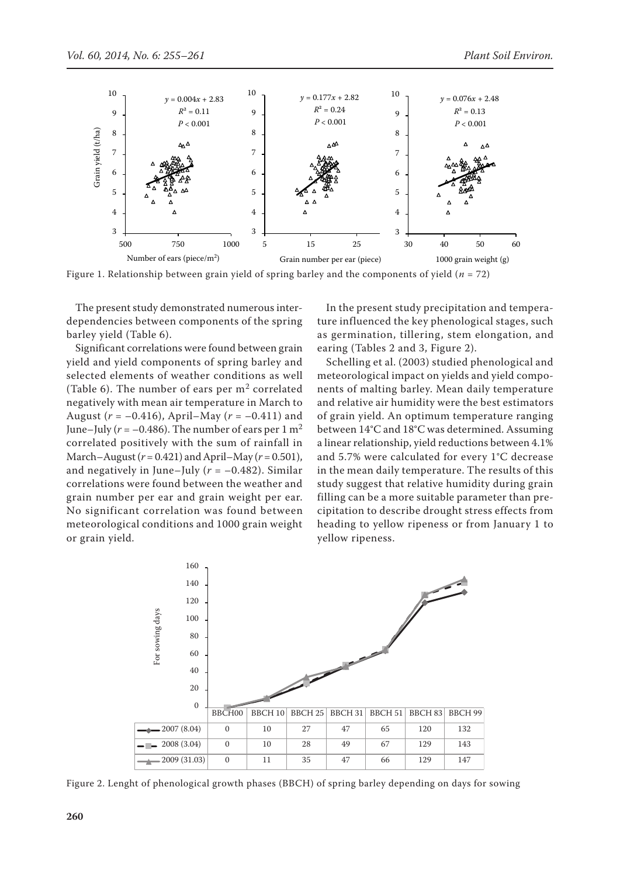

Figure 1. Relationship between grain yield of spring barley and the components of yield ( $n = 72$ )

The present study demonstrated numerous interdependencies between components of the spring barley yield (Table 6).

Significant correlations were found between grain yield and yield components of spring barley and selected elements of weather conditions as well (Table 6). The number of ears per  $m<sup>2</sup>$  correlated negatively with mean air temperature in March to August ( $r = -0.416$ ), April–May ( $r = -0.411$ ) and June–July ( $r = -0.486$ ). The number of ears per 1 m<sup>2</sup> correlated positively with the sum of rainfall in March–August (*r* = 0.421) and April–May (*r* = 0.501), and negatively in June–July  $(r = -0.482)$ . Similar correlations were found between the weather and grain number per ear and grain weight per ear. No significant correlation was found between meteorological conditions and 1000 grain weight or grain yield.

In the present study precipitation and temperature influenced the key phenological stages, such as germination, tillering, stem elongation, and earing (Tables 2 and 3, Figure 2).

Schelling et al. (2003) studied phenological and meteorological impact on yields and yield components of malting barley. Mean daily temperature and relative air humidity were the best estimators of grain yield. An optimum temperature ranging between 14°C and 18°C was determined. Assuming a linear relationship, yield reductions between 4.1% and 5.7% were calculated for every 1°C decrease in the mean daily temperature. The results of this study suggest that relative humidity during grain filling can be a more suitable parameter than precipitation to describe drought stress effects from heading to yellow ripeness or from January 1 to yellow ripeness.



Figure 2. Lenght of phenological growth phases (BBCH) of spring barley depending on days for sowing